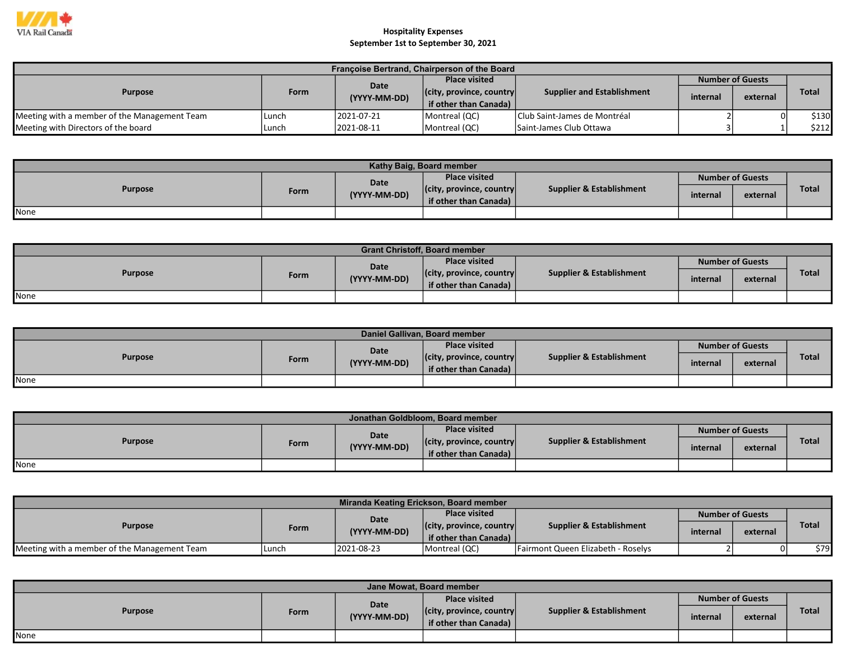

| Françoise Bertrand, Chairperson of the Board |             |                      |                                  |                                   |          |                         |              |  |  |  |
|----------------------------------------------|-------------|----------------------|----------------------------------|-----------------------------------|----------|-------------------------|--------------|--|--|--|
| <b>Purpose</b>                               |             |                      | <b>Place visited</b>             |                                   |          | <b>Number of Guests</b> |              |  |  |  |
|                                              | <b>Form</b> | Date<br>(YYYY-MM-DD) | $ $ (city, province, country $ $ | <b>Supplier and Establishment</b> | internal | external                | <b>Total</b> |  |  |  |
|                                              |             |                      | if other than Canada)            |                                   |          |                         |              |  |  |  |
| Meeting with a member of the Management Team | l Lunch     | 2021-07-21           | Montreal (QC)                    | Club Saint-James de Montréal      |          | 0                       | \$130        |  |  |  |
| Meeting with Directors of the board          | Lunch       | 12021-08-11          | Montreal (QC)                    | Saint-James Club Ottawa           |          |                         | \$212        |  |  |  |

| Kathy Baig, Board member |      |              |                                  |                                     |          |                         |              |  |  |  |  |
|--------------------------|------|--------------|----------------------------------|-------------------------------------|----------|-------------------------|--------------|--|--|--|--|
| <b>Purpose</b>           |      | Date         | <b>Place visited</b>             |                                     |          | <b>Number of Guests</b> |              |  |  |  |  |
|                          | Form | (YYYY-MM-DD) | $ $ (city, province, country $ $ | <b>Supplier &amp; Establishment</b> | internal | external                | <b>Total</b> |  |  |  |  |
|                          |      |              | if other than Canada)            |                                     |          |                         |              |  |  |  |  |
| <b>None</b>              |      |              |                                  |                                     |          |                         |              |  |  |  |  |

| <b>Grant Christoff, Board member</b> |             |              |                                  |                          |                         |          |              |  |  |  |
|--------------------------------------|-------------|--------------|----------------------------------|--------------------------|-------------------------|----------|--------------|--|--|--|
| <b>Purpose</b>                       |             | Date         | <b>Place visited</b>             |                          | <b>Number of Guests</b> |          |              |  |  |  |
|                                      | <b>Form</b> | (YYYY-MM-DD) | $ $ (city, province, country $ $ | Supplier & Establishment | internal                | external | <b>Total</b> |  |  |  |
|                                      |             |              | if other than Canada)            |                          |                         |          |              |  |  |  |
| None                                 |             |              |                                  |                          |                         |          |              |  |  |  |

| Daniel Gallivan, Board member |             |              |                                  |                          |                         |          |              |  |  |  |
|-------------------------------|-------------|--------------|----------------------------------|--------------------------|-------------------------|----------|--------------|--|--|--|
| <b>Purpose</b>                |             | Date         | <b>Place visited</b>             |                          | <b>Number of Guests</b> |          |              |  |  |  |
|                               | <b>Form</b> | (YYYY-MM-DD) | $ $ (city, province, country $ $ | Supplier & Establishment | internal                | external | <b>Total</b> |  |  |  |
|                               |             |              | if other than Canada)            |                          |                         |          |              |  |  |  |
| <b>I</b> None                 |             |              |                                  |                          |                         |          |              |  |  |  |

| Jonathan Goldbloom, Board member |      |              |                                  |                                     |                         |          |              |  |  |  |  |
|----------------------------------|------|--------------|----------------------------------|-------------------------------------|-------------------------|----------|--------------|--|--|--|--|
| <b>Purpose</b>                   |      | Date         | <b>Place visited</b>             |                                     | <b>Number of Guests</b> |          |              |  |  |  |  |
|                                  | Form | (YYYY-MM-DD) | $ $ (city, province, country $ $ | <b>Supplier &amp; Establishment</b> | internal                | external | <b>Total</b> |  |  |  |  |
|                                  |      |              | if other than Canada)            |                                     |                         |          |              |  |  |  |  |
| None                             |      |              |                                  |                                     |                         |          |              |  |  |  |  |

| Miranda Keating Erickson, Board member       |             |              |                                  |                                     |                         |          |              |  |  |  |  |
|----------------------------------------------|-------------|--------------|----------------------------------|-------------------------------------|-------------------------|----------|--------------|--|--|--|--|
| <b>Purpose</b>                               |             | Date         | <b>Place visited</b>             |                                     | <b>Number of Guests</b> |          |              |  |  |  |  |
|                                              | <b>Form</b> | (YYYY-MM-DD) | $ $ (city, province, country $ $ | <b>Supplier &amp; Establishment</b> | internal                |          | <b>Total</b> |  |  |  |  |
|                                              |             |              | if other than Canada)            |                                     |                         | external |              |  |  |  |  |
| Meeting with a member of the Management Team | Lunch       | 2021-08-23   | Montreal (QC)                    | Fairmont Queen Elizabeth - Roselys  |                         | $\Omega$ | \$79         |  |  |  |  |

| Jane Mowat, Board member |      |                      |                                                                   |                                     |                         |          |              |  |  |  |  |
|--------------------------|------|----------------------|-------------------------------------------------------------------|-------------------------------------|-------------------------|----------|--------------|--|--|--|--|
| <b>Purpose</b>           | Form | Date<br>(YYYY-MM-DD) | <b>Place visited</b>                                              |                                     | <b>Number of Guests</b> |          |              |  |  |  |  |
|                          |      |                      | $ $ (city, province, country $ $<br>if other than Canada) $\vert$ | <b>Supplier &amp; Establishment</b> | internal                | external | <b>Total</b> |  |  |  |  |
|                          |      |                      |                                                                   |                                     |                         |          |              |  |  |  |  |
| None                     |      |                      |                                                                   |                                     |                         |          |              |  |  |  |  |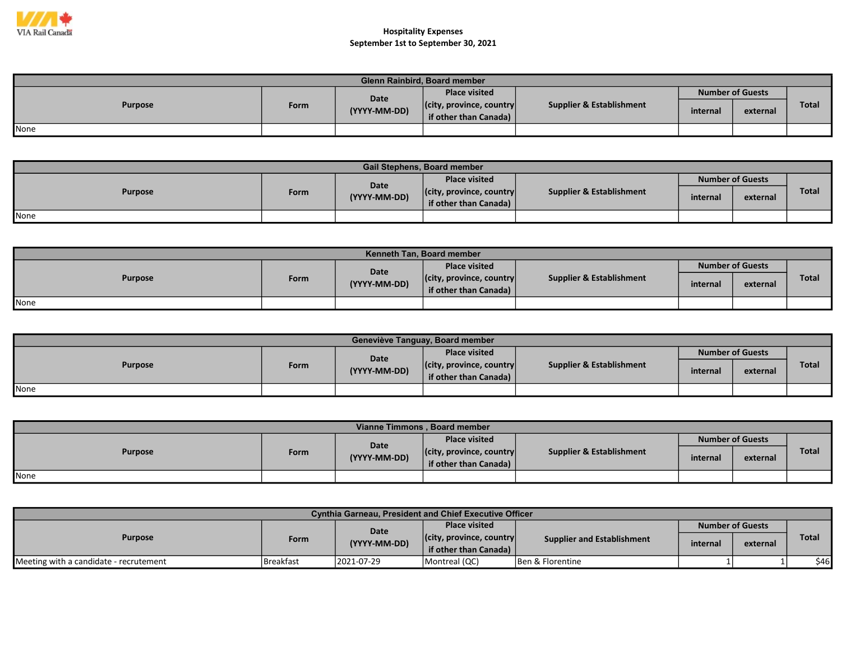

| <b>Glenn Rainbird, Board member</b> |      |                      |                                  |                          |                         |          |              |  |  |  |
|-------------------------------------|------|----------------------|----------------------------------|--------------------------|-------------------------|----------|--------------|--|--|--|
| <b>Purpose</b>                      |      | Date<br>(YYYY-MM-DD) | <b>Place visited</b>             | Supplier & Establishment | <b>Number of Guests</b> |          |              |  |  |  |
|                                     | Form |                      | $ $ (city, province, country $ $ |                          | internal                | external | <b>Total</b> |  |  |  |
|                                     |      |                      | if other than Canada)            |                          |                         |          |              |  |  |  |
| None                                |      |                      |                                  |                          |                         |          |              |  |  |  |

| <b>Gail Stephens, Board member</b> |      |              |                                                           |                                     |          |                         |              |  |  |  |  |
|------------------------------------|------|--------------|-----------------------------------------------------------|-------------------------------------|----------|-------------------------|--------------|--|--|--|--|
| <b>Purpose</b>                     |      | Date         | <b>Place visited</b>                                      |                                     |          | <b>Number of Guests</b> |              |  |  |  |  |
|                                    | Form | (YYYY-MM-DD) | $ $ (city, province, country $ $<br>if other than Canada) | <b>Supplier &amp; Establishment</b> | internal | external                | <b>Total</b> |  |  |  |  |
| None                               |      |              |                                                           |                                     |          |                         |              |  |  |  |  |

| Kenneth Tan. Board member |      |              |                                  |                          |                         |          |              |  |  |  |
|---------------------------|------|--------------|----------------------------------|--------------------------|-------------------------|----------|--------------|--|--|--|
| <b>Purpose</b>            |      | Date         | <b>Place visited</b>             |                          | <b>Number of Guests</b> |          |              |  |  |  |
|                           | Form | (YYYY-MM-DD) | $ $ (city, province, country $ $ | Supplier & Establishment | internal                | external | <b>Total</b> |  |  |  |
|                           |      |              | if other than Canada)            |                          |                         |          |              |  |  |  |
| <b>I</b> None             |      |              |                                  |                          |                         |          |              |  |  |  |

| Geneviève Tanguay, Board member |      |              |                                                           |                                     |          |                         |              |  |  |  |
|---------------------------------|------|--------------|-----------------------------------------------------------|-------------------------------------|----------|-------------------------|--------------|--|--|--|
| <b>Purpose</b>                  |      | Date         | <b>Place visited</b>                                      |                                     |          | <b>Number of Guests</b> |              |  |  |  |
|                                 | Form | (YYYY-MM-DD) | $ $ (city, province, country $ $<br>if other than Canada) | <b>Supplier &amp; Establishment</b> | internal | external                | <b>Total</b> |  |  |  |
| None                            |      |              |                                                           |                                     |          |                         |              |  |  |  |

| Vianne Timmons, Board member |      |              |                                  |                          |          |                         |              |  |  |  |
|------------------------------|------|--------------|----------------------------------|--------------------------|----------|-------------------------|--------------|--|--|--|
| <b>Purpose</b>               |      | Date         | <b>Place visited</b>             |                          |          | <b>Number of Guests</b> |              |  |  |  |
|                              | Form | (YYYY-MM-DD) | $ $ (city, province, country $ $ | Supplier & Establishment | internal | external                | <b>Total</b> |  |  |  |
|                              |      |              | if other than Canada)            |                          |          |                         |              |  |  |  |
| None                         |      |              |                                  |                          |          |                         |              |  |  |  |

| <b>Cynthia Garneau, President and Chief Executive Officer</b> |                  |              |                                  |                                   |                         |          |               |  |  |  |
|---------------------------------------------------------------|------------------|--------------|----------------------------------|-----------------------------------|-------------------------|----------|---------------|--|--|--|
| <b>Purpose</b>                                                |                  | Date         | <b>Place visited</b>             |                                   | <b>Number of Guests</b> |          |               |  |  |  |
|                                                               | Form             | (YYYY-MM-DD) | $ $ (city, province, country $ $ | <b>Supplier and Establishment</b> | internal                | external | Total         |  |  |  |
|                                                               |                  |              | if other than Canada)            |                                   |                         |          |               |  |  |  |
| Meeting with a candidate - recrutement                        | <b>Breakfast</b> | 2021-07-29   | Montreal (QC)                    | <b>Ben &amp; Florentine</b>       |                         |          | \$46 <b>I</b> |  |  |  |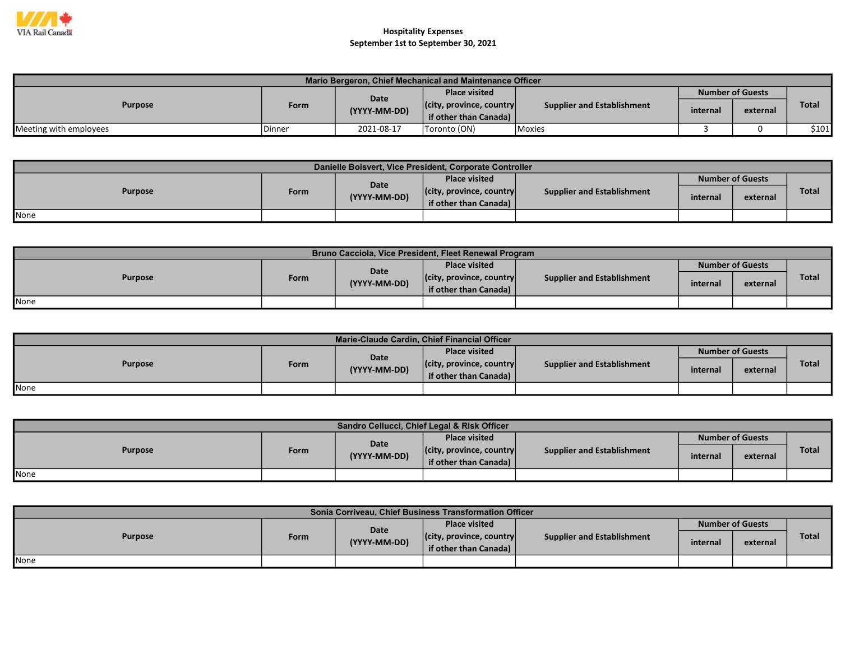

| Mario Bergeron, Chief Mechanical and Maintenance Officer |               |              |                                  |                                   |                         |          |              |  |  |  |
|----------------------------------------------------------|---------------|--------------|----------------------------------|-----------------------------------|-------------------------|----------|--------------|--|--|--|
| <b>Purpose</b>                                           |               | Date         | <b>Place visited</b>             |                                   | <b>Number of Guests</b> |          |              |  |  |  |
|                                                          | <b>Form</b>   | (YYYY-MM-DD) | $ $ (city, province, country $ $ | <b>Supplier and Establishment</b> | internal                | external | <b>Total</b> |  |  |  |
|                                                          |               |              | if other than Canada)            |                                   |                         |          |              |  |  |  |
| Meeting with employees                                   | <b>Dinner</b> | 2021-08-17   | Toronto (ON)                     | <b>Moxies</b>                     |                         |          | \$101        |  |  |  |

| Danielle Boisvert, Vice President, Corporate Controller |      |              |                                  |                                   |          |                         |              |  |  |  |  |  |
|---------------------------------------------------------|------|--------------|----------------------------------|-----------------------------------|----------|-------------------------|--------------|--|--|--|--|--|
| <b>Purpose</b>                                          |      | Date         | <b>Place visited</b>             |                                   |          | <b>Number of Guests</b> |              |  |  |  |  |  |
|                                                         | Form | (YYYY-MM-DD) | $ $ (city, province, country $ $ | <b>Supplier and Establishment</b> | internal | external                | <b>Total</b> |  |  |  |  |  |
|                                                         |      |              | if other than Canada)            |                                   |          |                         |              |  |  |  |  |  |
| <b>I</b> None                                           |      |              |                                  |                                   |          |                         |              |  |  |  |  |  |

| Bruno Cacciola, Vice President, Fleet Renewal Program |      |                      |                                                           |                            |                         |          |              |  |  |  |  |
|-------------------------------------------------------|------|----------------------|-----------------------------------------------------------|----------------------------|-------------------------|----------|--------------|--|--|--|--|
| <b>Purpose</b>                                        |      |                      | <b>Place visited</b>                                      |                            | <b>Number of Guests</b> |          |              |  |  |  |  |
|                                                       | Form | Date<br>(YYYY-MM-DD) | $ $ (city, province, country $ $<br>if other than Canada) | Supplier and Establishment | internal                | external | <b>Total</b> |  |  |  |  |
| None                                                  |      |                      |                                                           |                            |                         |          |              |  |  |  |  |

| Marie-Claude Cardin, Chief Financial Officer |      |              |                                  |                                   |          |                         |              |  |  |  |  |
|----------------------------------------------|------|--------------|----------------------------------|-----------------------------------|----------|-------------------------|--------------|--|--|--|--|
| <b>Purpose</b>                               |      | <b>Date</b>  | <b>Place visited</b>             |                                   |          | <b>Number of Guests</b> |              |  |  |  |  |
|                                              | Form | (YYYY-MM-DD) | $ $ (city, province, country $ $ | <b>Supplier and Establishment</b> | internal | external                | <b>Total</b> |  |  |  |  |
|                                              |      |              | if other than Canada)            |                                   |          |                         |              |  |  |  |  |
| None                                         |      |              |                                  |                                   |          |                         |              |  |  |  |  |

| Sandro Cellucci, Chief Legal & Risk Officer |      |              |                                  |                                   |          |                         |              |  |  |  |  |
|---------------------------------------------|------|--------------|----------------------------------|-----------------------------------|----------|-------------------------|--------------|--|--|--|--|
| <b>Purpose</b>                              |      | Date         | <b>Place visited</b>             |                                   |          | <b>Number of Guests</b> |              |  |  |  |  |
|                                             | Form | (YYYY-MM-DD) | $ $ (city, province, country $ $ | <b>Supplier and Establishment</b> | internal | external                | <b>Total</b> |  |  |  |  |
|                                             |      |              | if other than Canada)            |                                   |          |                         |              |  |  |  |  |
| None                                        |      |              |                                  |                                   |          |                         |              |  |  |  |  |

| Sonia Corriveau, Chief Business Transformation Officer |      |              |                                                           |                            |                         |          |       |  |  |  |  |
|--------------------------------------------------------|------|--------------|-----------------------------------------------------------|----------------------------|-------------------------|----------|-------|--|--|--|--|
| <b>Purpose</b>                                         |      | <b>Date</b>  | <b>Place visited</b>                                      |                            | <b>Number of Guests</b> |          |       |  |  |  |  |
|                                                        | Form | (YYYY-MM-DD) | $ $ (city, province, country $ $<br>if other than Canada) | Supplier and Establishment | internal                | external | Total |  |  |  |  |
| None                                                   |      |              |                                                           |                            |                         |          |       |  |  |  |  |